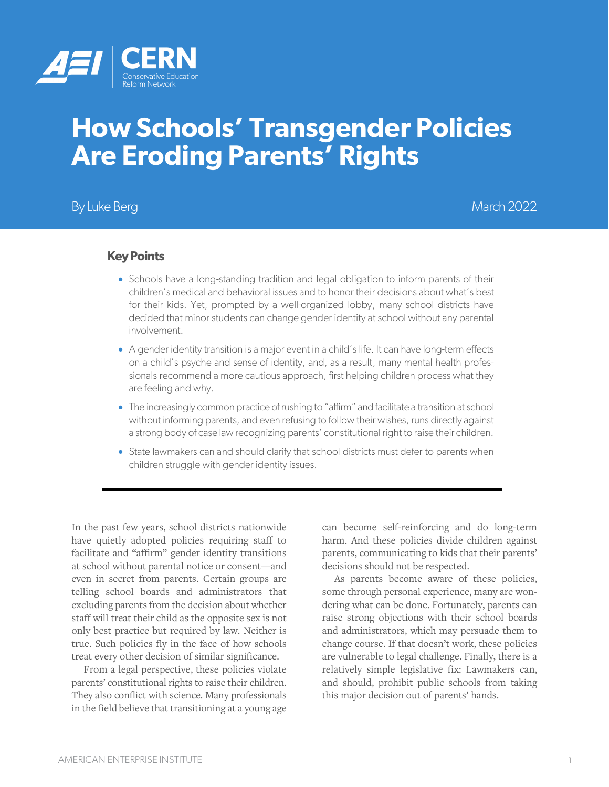

# **How Schools' Transgender Policies Are Eroding Parents' Rights**

# By Luke Berg March 2022

#### **Key Points**

- Schools have a long-standing tradition and legal obligation to inform parents of their children's medical and behavioral issues and to honor their decisions about what's best for their kids. Yet, prompted by a well-organized lobby, many school districts have decided that minor students can change gender identity at school without any parental involvement.
- A gender identity transition is a major event in a child's life. It can have long-term effects on a child's psyche and sense of identity, and, as a result, many mental health professionals recommend a more cautious approach, first helping children process what they are feeling and why.
- The increasingly common practice of rushing to "affirm" and facilitate a transition at school without informing parents, and even refusing to follow their wishes, runs directly against a strong body of case law recognizing parents' constitutional right to raise their children.
- State lawmakers can and should clarify that school districts must defer to parents when children struggle with gender identity issues.

In the past few years, school districts nationwide have quietly adopted policies requiring staff to facilitate and "affirm" gender identity transitions at school without parental notice or consent—and even in secret from parents. Certain groups are telling school boards and administrators that excluding parents from the decision about whether staff will treat their child as the opposite sex is not only best practice but required by law. Neither is true. Such policies fly in the face of how schools treat every other decision of similar significance.

From a legal perspective, these policies violate parents' constitutional rights to raise their children. They also conflict with science. Many professionals in the field believe that transitioning at a young age can become self-reinforcing and do long-term harm. And these policies divide children against parents, communicating to kids that their parents' decisions should not be respected.

As parents become aware of these policies, some through personal experience, many are wondering what can be done. Fortunately, parents can raise strong objections with their school boards and administrators, which may persuade them to change course. If that doesn't work, these policies are vulnerable to legal challenge. Finally, there is a relatively simple legislative fix: Lawmakers can, and should, prohibit public schools from taking this major decision out of parents' hands.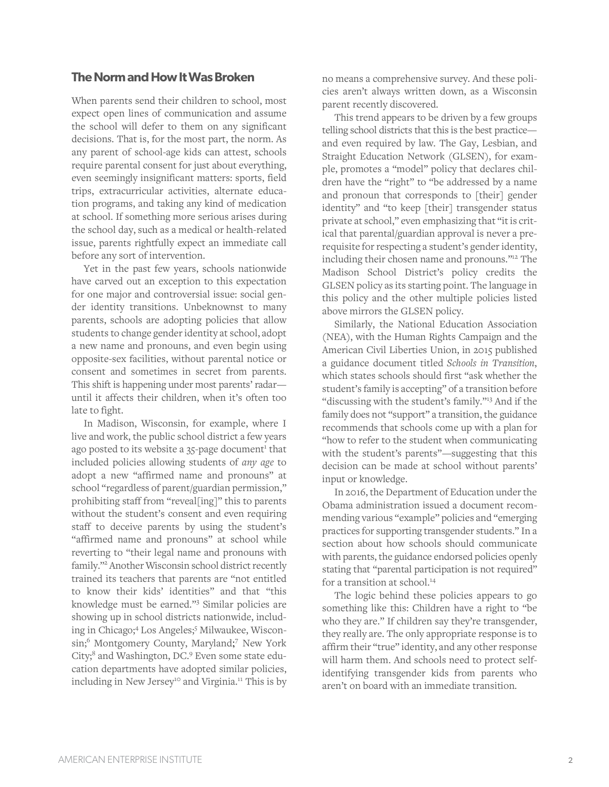## **The Norm and How It Was Broken**

When parents send their children to school, most expect open lines of communication and assume the school will defer to them on any significant decisions. That is, for the most part, the norm. As any parent of school-age kids can attest, schools require parental consent for just about everything, even seemingly insignificant matters: sports, field trips, extracurricular activities, alternate education programs, and taking any kind of medication at school. If something more serious arises during the school day, such as a medical or health-related issue, parents rightfully expect an immediate call before any sort of intervention.

Yet in the past few years, schools nationwide have carved out an exception to this expectation for one major and controversial issue: social gender identity transitions. Unbeknownst to many parents, schools are adopting policies that allow students to change gender identity at school, adopt a new name and pronouns, and even begin using opposite-sex facilities, without parental notice or consent and sometimes in secret from parents. This shift is happening under most parents' radar until it affects their children, when it's often too late to fight.

In Madison, Wisconsin, for example, where I live and work, the public school district a few years ago posted to its website a  $35$ -page document<sup>1</sup> that included policies allowing students of *any age* to adopt a new "affirmed name and pronouns" at school "regardless of parent/guardian permission," prohibiting staff from "reveal[ing]" this to parents without the student's consent and even requiring staff to deceive parents by using the student's "affirmed name and pronouns" at school while reverting to "their legal name and pronouns with family."2 Another Wisconsin school district recently trained its teachers that parents are "not entitled to know their kids' identities" and that "this knowledge must be earned."<sup>3</sup> Similar policies are showing up in school districts nationwide, including in Chicago; <sup>4</sup> Los Angeles; <sup>5</sup> Milwaukee, Wisconsin; <sup>6</sup> Montgomery County, Maryland; <sup>7</sup> New York City; <sup>8</sup> and Washington, DC. <sup>9</sup> Even some state education departments have adopted similar policies, including in New Jersey<sup>10</sup> and Virginia.<sup>11</sup> This is by

no means a comprehensive survey. And these policies aren't always written down, as a Wisconsin parent recently discovered.

This trend appears to be driven by a few groups telling school districts that this is the best practice and even required by law. The Gay, Lesbian, and Straight Education Network (GLSEN), for example, promotes a "model" policy that declares children have the "right" to "be addressed by a name and pronoun that corresponds to [their] gender identity" and "to keep [their] transgender status private at school," even emphasizing that "it is critical that parental/guardian approval is never a prerequisite for respecting a student's gender identity, including their chosen name and pronouns."12 The Madison School District's policy credits the GLSEN policy as its starting point. The language in this policy and the other multiple policies listed above mirrors the GLSEN policy.

Similarly, the National Education Association (NEA), with the Human Rights Campaign and the American Civil Liberties Union, in 2015 published a guidance document titled *Schools in Transition*, which states schools should first "ask whether the student's family is accepting" of a transition before "discussing with the student's family."<sup>13</sup> And if the family does not "support" a transition, the guidance recommends that schools come up with a plan for "how to refer to the student when communicating with the student's parents"—suggesting that this decision can be made at school without parents' input or knowledge.

In 2016, the Department of Education under the Obama administration issued a document recommending various "example" policies and "emerging practices for supporting transgender students." In a section about how schools should communicate with parents, the guidance endorsed policies openly stating that "parental participation is not required" for a transition at school.<sup>14</sup>

The logic behind these policies appears to go something like this: Children have a right to "be who they are." If children say they're transgender, they really are. The only appropriate response is to affirm their "true" identity, and any other response will harm them. And schools need to protect selfidentifying transgender kids from parents who aren't on board with an immediate transition.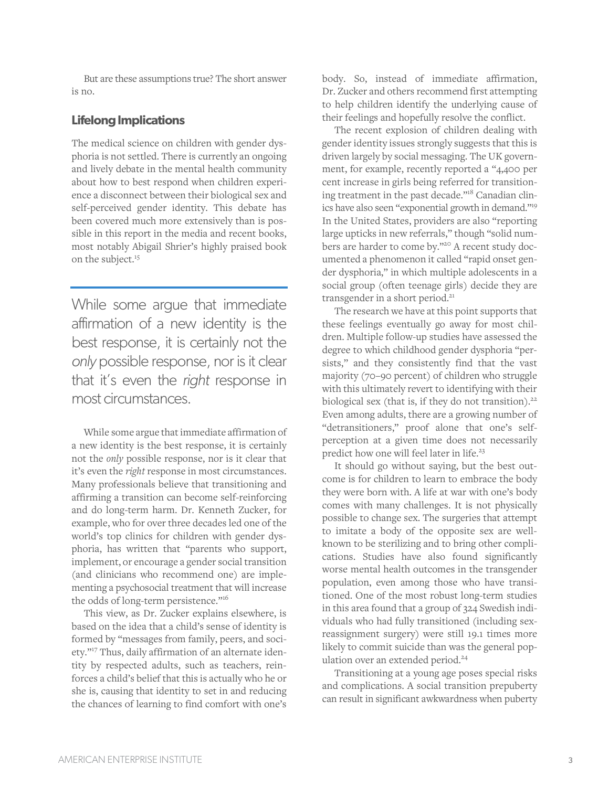But are these assumptions true? The short answer is no.

#### **Lifelong Implications**

The medical science on children with gender dysphoria is not settled. There is currently an ongoing and lively debate in the mental health community about how to best respond when children experience a disconnect between their biological sex and self-perceived gender identity. This debate has been covered much more extensively than is possible in this report in the media and recent books, most notably Abigail Shrier's highly praised book on the subject. 15

While some argue that immediate affirmation of a new identity is the best response, it is certainly not the *only* possible response, nor is it clear that it's even the *right* response in most circumstances.

While some argue that immediate affirmation of a new identity is the best response, it is certainly not the *only* possible response, nor is it clear that it's even the *right* response in most circumstances. Many professionals believe that transitioning and affirming a transition can become self-reinforcing and do long-term harm. Dr. Kenneth Zucker, for example, who for over three decades led one of the world's top clinics for children with gender dysphoria, has written that "parents who support, implement, or encourage a gender social transition (and clinicians who recommend one) are implementing a psychosocial treatment that will increase the odds of long-term persistence."<sup>16</sup>

This view, as Dr. Zucker explains elsewhere, is based on the idea that a child's sense of identity is formed by "messages from family, peers, and society."<sup>17</sup> Thus, daily affirmation of an alternate identity by respected adults, such as teachers, reinforces a child's belief that this is actually who he or she is, causing that identity to set in and reducing the chances of learning to find comfort with one's

body. So, instead of immediate affirmation, Dr. Zucker and others recommend first attempting to help children identify the underlying cause of their feelings and hopefully resolve the conflict.

The recent explosion of children dealing with gender identity issues strongly suggests that this is driven largely by social messaging. The UK government, for example, recently reported a "4,400 per cent increase in girls being referred for transitioning treatment in the past decade."<sup>18</sup> Canadian clinics have also seen "exponential growth in demand."19 In the United States, providers are also "reporting large upticks in new referrals," though "solid numbers are harder to come by."<sup>20</sup> A recent study documented a phenomenon it called "rapid onset gender dysphoria," in which multiple adolescents in a social group (often teenage girls) decide they are transgender in a short period.<sup>21</sup>

The research we have at this point supports that these feelings eventually go away for most children. Multiple follow-up studies have assessed the degree to which childhood gender dysphoria "persists," and they consistently find that the vast majority (70–90 percent) of children who struggle with this ultimately revert to identifying with their biological sex (that is, if they do not transition).<sup>22</sup> Even among adults, there are a growing number of "detransitioners," proof alone that one's selfperception at a given time does not necessarily predict how one will feel later in life.<sup>23</sup>

It should go without saying, but the best outcome is for children to learn to embrace the body they were born with. A life at war with one's body comes with many challenges. It is not physically possible to change sex. The surgeries that attempt to imitate a body of the opposite sex are wellknown to be sterilizing and to bring other complications. Studies have also found significantly worse mental health outcomes in the transgender population, even among those who have transitioned. One of the most robust long-term studies in this area found that a group of 324 Swedish individuals who had fully transitioned (including sexreassignment surgery) were still 19.1 times more likely to commit suicide than was the general population over an extended period.<sup>24</sup>

Transitioning at a young age poses special risks and complications. A social transition prepuberty can result in significant awkwardness when puberty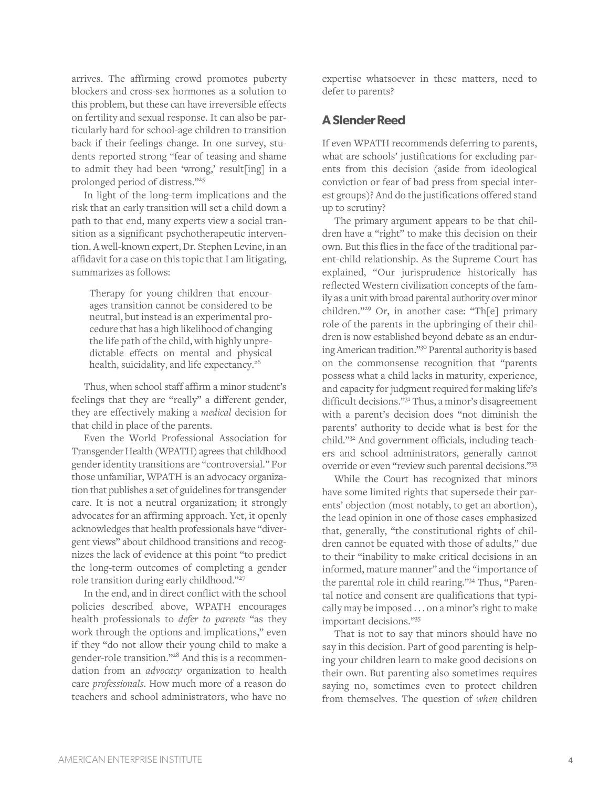arrives. The affirming crowd promotes puberty blockers and cross-sex hormones as a solution to this problem, but these can have irreversible effects on fertility and sexual response. It can also be particularly hard for school-age children to transition back if their feelings change. In one survey, students reported strong "fear of teasing and shame to admit they had been 'wrong,' result[ing] in a prolonged period of distress."25

In light of the long-term implications and the risk that an early transition will set a child down a path to that end, many experts view a social transition as a significant psychotherapeutic intervention. A well-known expert, Dr. Stephen Levine, in an affidavit for a case on this topic that I am litigating, summarizes as follows:

Therapy for young children that encourages transition cannot be considered to be neutral, but instead is an experimental procedure that has a high likelihood of changing the life path of the child, with highly unpredictable effects on mental and physical health, suicidality, and life expectancy.<sup>26</sup>

Thus, when school staff affirm a minor student's feelings that they are "really" a different gender, they are effectively making a *medical* decision for that child in place of the parents.

Even the World Professional Association for Transgender Health (WPATH) agrees that childhood gender identity transitions are "controversial." For those unfamiliar, WPATH is an advocacy organization that publishes a set of guidelines for transgender care. It is not a neutral organization; it strongly advocates for an affirming approach. Yet, it openly acknowledges that health professionals have "divergent views" about childhood transitions and recognizes the lack of evidence at this point "to predict the long-term outcomes of completing a gender role transition during early childhood."<sup>27</sup>

In the end, and in direct conflict with the school policies described above, WPATH encourages health professionals to *defer to parents* "as they work through the options and implications," even if they "do not allow their young child to make a gender-role transition."28 And this is a recommendation from an *advocacy* organization to health care *professionals*. How much more of a reason do teachers and school administrators, who have no expertise whatsoever in these matters, need to defer to parents?

#### **A Slender Reed**

If even WPATH recommends deferring to parents, what are schools' justifications for excluding parents from this decision (aside from ideological conviction or fear of bad press from special interest groups)? And do the justifications offered stand up to scrutiny?

The primary argument appears to be that children have a "right" to make this decision on their own. But this flies in the face of the traditional parent-child relationship. As the Supreme Court has explained, "Our jurisprudence historically has reflected Western civilization concepts of the family as a unit with broad parental authority over minor children."<sup>29</sup> Or, in another case: "Th[e] primary role of the parents in the upbringing of their children is now established beyond debate as an enduring American tradition."30 Parental authority is based on the commonsense recognition that "parents possess what a child lacks in maturity, experience, and capacity for judgment required for making life's difficult decisions."<sup>31</sup> Thus, a minor's disagreement with a parent's decision does "not diminish the parents' authority to decide what is best for the child."<sup>32</sup> And government officials, including teachers and school administrators, generally cannot override or even "review such parental decisions."33

While the Court has recognized that minors have some limited rights that supersede their parents' objection (most notably, to get an abortion), the lead opinion in one of those cases emphasized that, generally, "the constitutional rights of children cannot be equated with those of adults," due to their "inability to make critical decisions in an informed, mature manner" and the "importance of the parental role in child rearing."<sup>34</sup> Thus, "Parental notice and consent are qualifications that typically may be imposed . . . on a minor's right to make important decisions."<sup>35</sup>

That is not to say that minors should have no say in this decision. Part of good parenting is helping your children learn to make good decisions on their own. But parenting also sometimes requires saying no, sometimes even to protect children from themselves. The question of *when* children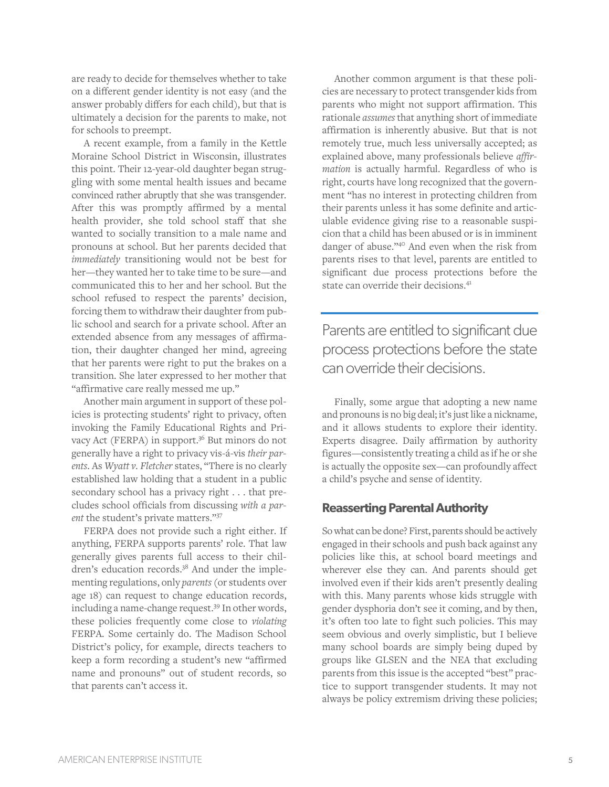are ready to decide for themselves whether to take on a different gender identity is not easy (and the answer probably differs for each child), but that is ultimately a decision for the parents to make, not for schools to preempt.

A recent example, from a family in the Kettle Moraine School District in Wisconsin, illustrates this point. Their 12-year-old daughter began struggling with some mental health issues and became convinced rather abruptly that she was transgender. After this was promptly affirmed by a mental health provider, she told school staff that she wanted to socially transition to a male name and pronouns at school. But her parents decided that *immediately* transitioning would not be best for her—they wanted her to take time to be sure—and communicated this to her and her school. But the school refused to respect the parents' decision, forcing them to withdraw their daughter from public school and search for a private school. After an extended absence from any messages of affirmation, their daughter changed her mind, agreeing that her parents were right to put the brakes on a transition. She later expressed to her mother that "affirmative care really messed me up."

Another main argument in support of these policies is protecting students' right to privacy, often invoking the Family Educational Rights and Privacy Act (FERPA) in support.<sup>36</sup> But minors do not generally have a right to privacy vis-á-vis *their parents*. As *Wyatt v. Fletcher* states, "There is no clearly established law holding that a student in a public secondary school has a privacy right . . . that precludes school officials from discussing *with a parent* the student's private matters."37

FERPA does not provide such a right either. If anything, FERPA supports parents' role. That law generally gives parents full access to their children's education records.<sup>38</sup> And under the implementing regulations, only *parents* (or students over age 18) can request to change education records, including a name-change request.39 In other words, these policies frequently come close to *violating*  FERPA. Some certainly do. The Madison School District's policy, for example, directs teachers to keep a form recording a student's new "affirmed name and pronouns" out of student records, so that parents can't access it.

Another common argument is that these policies are necessary to protect transgender kids from parents who might not support affirmation. This rationale *assumes* that anything short of immediate affirmation is inherently abusive. But that is not remotely true, much less universally accepted; as explained above, many professionals believe *affirmation* is actually harmful. Regardless of who is right, courts have long recognized that the government "has no interest in protecting children from their parents unless it has some definite and articulable evidence giving rise to a reasonable suspicion that a child has been abused or is in imminent danger of abuse."<sup>40</sup> And even when the risk from parents rises to that level, parents are entitled to significant due process protections before the state can override their decisions.<sup>41</sup>

Parents are entitled to significant due process protections before the state can override their decisions.

Finally, some argue that adopting a new name and pronouns is no big deal; it's just like a nickname, and it allows students to explore their identity. Experts disagree. Daily affirmation by authority figures—consistently treating a child as if he or she is actually the opposite sex—can profoundly affect a child's psyche and sense of identity.

## **Reasserting Parental Authority**

So what can be done? First, parents should be actively engaged in their schools and push back against any policies like this, at school board meetings and wherever else they can. And parents should get involved even if their kids aren't presently dealing with this. Many parents whose kids struggle with gender dysphoria don't see it coming, and by then, it's often too late to fight such policies. This may seem obvious and overly simplistic, but I believe many school boards are simply being duped by groups like GLSEN and the NEA that excluding parents from this issue is the accepted "best" practice to support transgender students. It may not always be policy extremism driving these policies;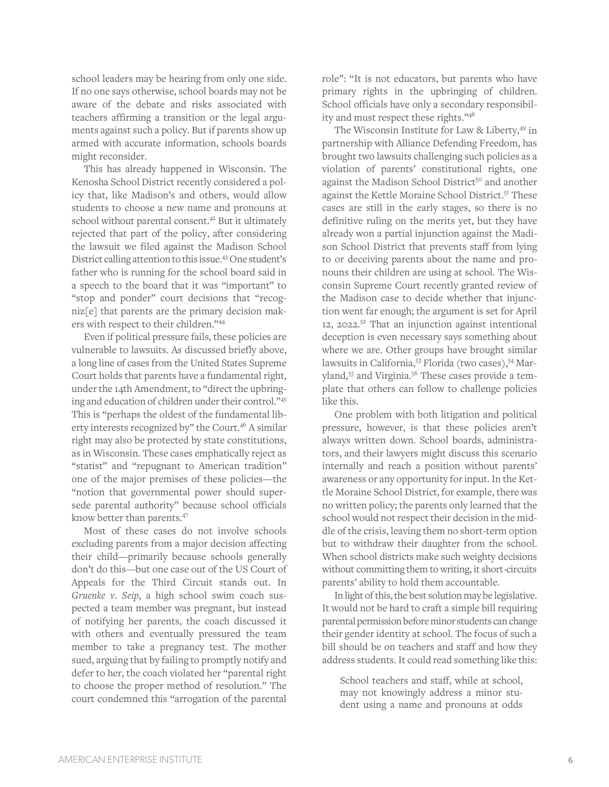school leaders may be hearing from only one side. If no one says otherwise, school boards may not be aware of the debate and risks associated with teachers affirming a transition or the legal arguments against such a policy. But if parents show up armed with accurate information, schools boards might reconsider.

This has already happened in Wisconsin. The Kenosha School District recently considered a policy that, like Madison's and others, would allow students to choose a new name and pronouns at school without parental consent.<sup>42</sup> But it ultimately rejected that part of the policy, after considering the lawsuit we filed against the Madison School District calling attention to this issue.<sup>43</sup> One student's father who is running for the school board said in a speech to the board that it was "important" to "stop and ponder" court decisions that "recogniz[e] that parents are the primary decision makers with respect to their children."<sup>44</sup>

Even if political pressure fails, these policies are vulnerable to lawsuits. As discussed briefly above, a long line of cases from the United States Supreme Court holds that parents have a fundamental right, under the 14th Amendment, to "direct the upbringing and education of children under their control."<sup>45</sup> This is "perhaps the oldest of the fundamental liberty interests recognized by" the Court.<sup>46</sup> A similar right may also be protected by state constitutions, as in Wisconsin. These cases emphatically reject as "statist" and "repugnant to American tradition" one of the major premises of these policies—the "notion that governmental power should supersede parental authority" because school officials know better than parents. 47

Most of these cases do not involve schools excluding parents from a major decision affecting their child—primarily because schools generally don't do this—but one case out of the US Court of Appeals for the Third Circuit stands out. In *Gruenke v. Seip*, a high school swim coach suspected a team member was pregnant, but instead of notifying her parents, the coach discussed it with others and eventually pressured the team member to take a pregnancy test. The mother sued, arguing that by failing to promptly notify and defer to her, the coach violated her "parental right to choose the proper method of resolution." The court condemned this "arrogation of the parental role": "It is not educators, but parents who have primary rights in the upbringing of children. School officials have only a secondary responsibility and must respect these rights."<sup>48</sup>

The Wisconsin Institute for Law & Liberty,<sup>49</sup> in partnership with Alliance Defending Freedom, has brought two lawsuits challenging such policies as a violation of parents' constitutional rights, one against the Madison School District<sup>50</sup> and another against the Kettle Moraine School District.<sup>51</sup> These cases are still in the early stages, so there is no definitive ruling on the merits yet, but they have already won a partial injunction against the Madison School District that prevents staff from lying to or deceiving parents about the name and pronouns their children are using at school. The Wisconsin Supreme Court recently granted review of the Madison case to decide whether that injunction went far enough; the argument is set for April 12, 2022. $5^2$  That an injunction against intentional deception is even necessary says something about where we are. Other groups have brought similar lawsuits in California,<sup>53</sup> Florida (two cases),<sup>54</sup> Maryland,<sup>55</sup> and Virginia.<sup>56</sup> These cases provide a template that others can follow to challenge policies like this.

One problem with both litigation and political pressure, however, is that these policies aren't always written down. School boards, administrators, and their lawyers might discuss this scenario internally and reach a position without parents' awareness or any opportunity for input. In the Kettle Moraine School District, for example, there was no written policy; the parents only learned that the school would not respect their decision in the middle of the crisis, leaving them no short-term option but to withdraw their daughter from the school. When school districts make such weighty decisions without committing them to writing, it short-circuits parents' ability to hold them accountable.

In light of this, the best solution may be legislative. It would not be hard to craft a simple bill requiring parental permission before minor students can change their gender identity at school. The focus of such a bill should be on teachers and staff and how they address students. It could read something like this:

School teachers and staff, while at school, may not knowingly address a minor student using a name and pronouns at odds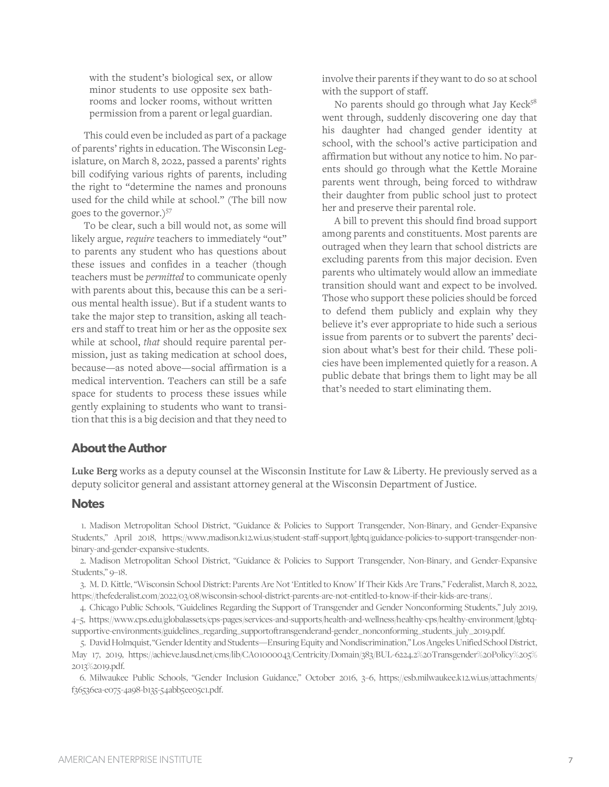with the student's biological sex, or allow minor students to use opposite sex bathrooms and locker rooms, without written permission from a parent or legal guardian.

This could even be included as part of a package of parents' rights in education. The Wisconsin Legislature, on March 8, 2022, passed a parents' rights bill codifying various rights of parents, including the right to "determine the names and pronouns used for the child while at school." (The bill now goes to the governor.)<sup>57</sup>

To be clear, such a bill would not, as some will likely argue, *require* teachers to immediately "out" to parents any student who has questions about these issues and confides in a teacher (though teachers must be *permitted* to communicate openly with parents about this, because this can be a serious mental health issue). But if a student wants to take the major step to transition, asking all teachers and staff to treat him or her as the opposite sex while at school, *that* should require parental permission, just as taking medication at school does, because—as noted above—social affirmation is a medical intervention. Teachers can still be a safe space for students to process these issues while gently explaining to students who want to transition that this is a big decision and that they need to involve their parents if they want to do so at school with the support of staff.

No parents should go through what Jay Keck<sup>58</sup> went through, suddenly discovering one day that his daughter had changed gender identity at school, with the school's active participation and affirmation but without any notice to him. No parents should go through what the Kettle Moraine parents went through, being forced to withdraw their daughter from public school just to protect her and preserve their parental role.

A bill to prevent this should find broad support among parents and constituents. Most parents are outraged when they learn that school districts are excluding parents from this major decision. Even parents who ultimately would allow an immediate transition should want and expect to be involved. Those who support these policies should be forced to defend them publicly and explain why they believe it's ever appropriate to hide such a serious issue from parents or to subvert the parents' decision about what's best for their child. These policies have been implemented quietly for a reason. A public debate that brings them to light may be all that's needed to start eliminating them.

#### **About the Author**

**Luke Berg** works as a deputy counsel at the Wisconsin Institute for Law & Liberty. He previously served as a deputy solicitor general and assistant attorney general at the Wisconsin Department of Justice.

#### **Notes**

1. Madison Metropolitan School District, "Guidance & Policies to Support Transgender, Non-Binary, and Gender-Expansive Students," April 2018, [https://www.madison.k12.wi.us/student-staff-support/lgbtq/guidance-policies-to-support-transgender-non](https://www.madison.k12.wi.us/student-staff-support/lgbtq/guidance-policies-to-support-transgender-non-binary-and-gender-expansive-students)[binary-and-gender-expansive-students.](https://www.madison.k12.wi.us/student-staff-support/lgbtq/guidance-policies-to-support-transgender-non-binary-and-gender-expansive-students)

2. Madison Metropolitan School District, "Guidance & Policies to Support Transgender, Non-Binary, and Gender-Expansive Students," 9–18.

3. M. D. Kittle, "Wisconsin School District: Parents Are Not 'Entitled to Know' If Their Kids Are Trans," Federalist, March 8, 2022, [https://thefederalist.com/2022/03/08/wisconsin-school-district-parents-are-not-entitled-to-know-if-their-kids-are-trans/.](https://thefederalist.com/2022/03/08/wisconsin-school-district-parents-are-not-entitled-to-know-if-their-kids-are-trans/)

4. Chicago Public Schools, "Guidelines Regarding the Support of Transgender and Gender Nonconforming Students," July 2019, 4–5, [https://www.cps.edu/globalassets/cps-pages/services-and-supports/health-and-wellness/healthy-cps/healthy-environment/lgbtq](https://www.cps.edu/globalassets/cps-pages/services-and-supports/health-and-wellness/healthy-cps/healthy-environment/lgbtq-supportive-environments/guidelines_regarding_supportoftransgenderand-gender_nonconforming_students_july_2019.pdf)[supportive-environments/guidelines\\_regarding\\_supportoftransgenderand-gender\\_nonconforming\\_students\\_july\\_2019.pdf.](https://www.cps.edu/globalassets/cps-pages/services-and-supports/health-and-wellness/healthy-cps/healthy-environment/lgbtq-supportive-environments/guidelines_regarding_supportoftransgenderand-gender_nonconforming_students_july_2019.pdf)

5. David Holmquist, "Gender Identity and Students—Ensuring Equity and Nondiscrimination,"Los Angeles Unified School District, May 17, 2019, [https://achieve.lausd.net/cms/lib/CA01000043/Centricity/Domain/383/BUL-6224.2%20Transgender%20Policy%205%](https://achieve.lausd.net/cms/lib/CA01000043/Centricity/Domain/383/BUL-6224.2%20Transgender%20Policy%205%25%202013%2019.pdf) [2013%2019.pdf.](https://achieve.lausd.net/cms/lib/CA01000043/Centricity/Domain/383/BUL-6224.2%20Transgender%20Policy%205%25%202013%2019.pdf)

6. Milwaukee Public Schools, "Gender Inclusion Guidance," October 2016, 3–6, [https://esb.milwaukee.k12.wi.us/attachments/](https://esb.milwaukee.k12.wi.us/attachments/%20f36536ea-e075-4a98-b135-54abb5ee05c1.pdf) [f36536ea-e075-4a98-b135-54abb5ee05c1.pdf.](https://esb.milwaukee.k12.wi.us/attachments/%20f36536ea-e075-4a98-b135-54abb5ee05c1.pdf)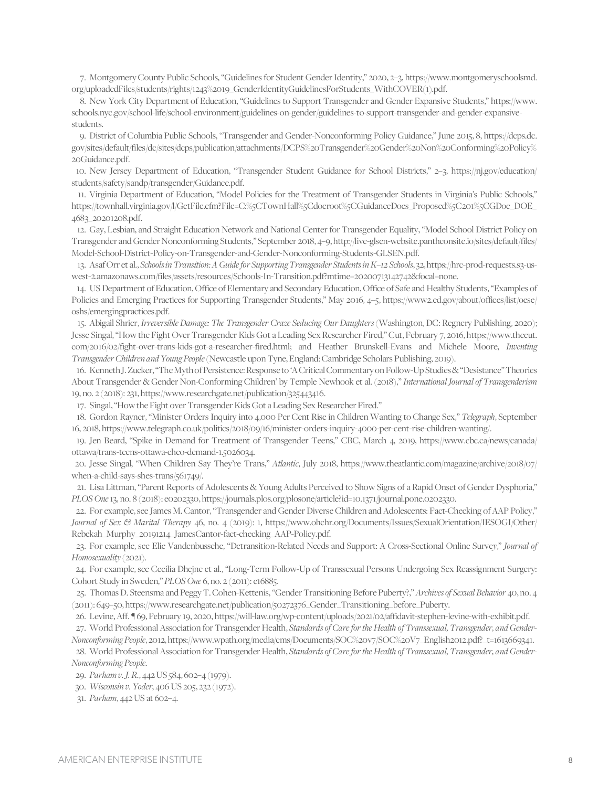7. Montgomery County Public Schools, "Guidelines for Student Gender Identity," 2020, 2–3, https://www.montgomeryschoolsmd. org/uploadedFiles/students/rights/1243%2019\_GenderIdentityGuidelinesForStudents\_WithCOVER(1).pdf.

8. New York City Department of Education, "Guidelines to Support Transgender and Gender Expansive Students," https://www. schools.nyc.gov/school-life/school-environment/guidelines-on-gender/guidelines-to-support-transgender-and-gender-expansivestudents.

9. District of Columbia Public Schools, "Transgender and Gender-Nonconforming Policy Guidance," June 2015, 8, https://dcps.dc. gov/sites/default/files/dc/sites/dcps/publication/attachments/DCPS%20Transgender%20Gender%20Non%20Conforming%20Policy% 20Guidance.pdf.

10. New Jersey Department of Education, "Transgender Student Guidance for School Districts," 2–3, [https://nj.gov/education/](https://nj.gov/education/%20students/safety/sandp/transgender/Guidance.pdf) [students/safety/sandp/transgender/Guidance.pdf.](https://nj.gov/education/%20students/safety/sandp/transgender/Guidance.pdf) 

11. Virginia Department of Education, "Model Policies for the Treatment of Transgender Students in Virginia's Public Schools," [https://townhall.virginia.gov/l/GetFile.cfm?File=C:%5CTownHall%5Cdocroot%5CGuidanceDocs\\_Proposed%5C201%5CGDoc\\_DOE\\_](https://townhall.virginia.gov/l/GetFile.cfm?File=C:%5CTownHall%5Cdocroot%5CGuidanceDocs_Proposed%5C201%5CGDoc_DOE_4683_20201208.pdf) [4683\\_20201208.pdf.](https://townhall.virginia.gov/l/GetFile.cfm?File=C:%5CTownHall%5Cdocroot%5CGuidanceDocs_Proposed%5C201%5CGDoc_DOE_4683_20201208.pdf)

12. Gay, Lesbian, and Straight Education Network and National Center for Transgender Equality, "Model School District Policy on Transgender and Gender Nonconforming Students," September 2018, 4–9, [http://live-glsen-website.pantheonsite.io/sites/default/files/](http://live-glsen-website.pantheonsite.io/sites/default/files/%20Model-School-District-Policy-on-Transgender-and-Gender-Nonconforming-Students-GLSEN.pdf) [Model-School-District-Policy-on-Transgender-and-Gender-Nonconforming-Students-GLSEN.pdf.](http://live-glsen-website.pantheonsite.io/sites/default/files/%20Model-School-District-Policy-on-Transgender-and-Gender-Nonconforming-Students-GLSEN.pdf) 

13. Asaf Orr et al., *Schools in Transition: A Guide for Supporting Transgender Students in K–12 Schools*, 32[, https://hrc-prod-requests.s3-us](https://hrc-prod-requests.s3-us-west-2.amazonaws.com/files/assets/resources/Schools-In-Transition.pdf?mtime=20200713142742&focal=none)[west-2.amazonaws.com/files/assets/resources/Schools-In-Transition.pdf?mtime=20200713142742&focal=none.](https://hrc-prod-requests.s3-us-west-2.amazonaws.com/files/assets/resources/Schools-In-Transition.pdf?mtime=20200713142742&focal=none) 

14. US Department of Education,Office of Elementary and Secondary Education, Office of Safe and Healthy Students,"Examples of Policies and Emerging Practices for Supporting Transgender Students," May 2016, 4–5, [https://www2.ed.gov/about/offices/list/oese/](https://www2.ed.gov/about/offices/list/oese/%20oshs/emergingpractices.pdf) [oshs/emergingpractices.pdf.](https://www2.ed.gov/about/offices/list/oese/%20oshs/emergingpractices.pdf) 

15. Abigail Shrier, *Irreversible Damage: The Transgender Craze Seducing Our Daughters* (Washington, DC: Regnery Publishing, 2020); Jesse Singal, "How the Fight Over Transgender Kids Got a Leading Sex Researcher Fired," Cut, February 7, 2016, https://www.thecut. com/2016/02/fight-over-trans-kids-got-a-researcher-fired.html; and Heather Brunskell-Evans and Michele Moore, *Inventing Transgender Children and Young People* (Newcastle upon Tyne, England: Cambridge Scholars Publishing, 2019).

16. Kenneth J. Zucker, "The Myth of Persistence: Response to 'A Critical Commentary on Follow-Up Studies & "Desistance"Theories About Transgender & Gender Non-Conforming Children' by Temple Newhook et al. (2018)," *International Journal of Transgenderism* 19, no. 2 (2018): 231[, https://www.researchgate.net/publication/325443416.](https://www.researchgate.net/publication/325443416)

17. Singal, "How the Fight over Transgender Kids Got a Leading Sex Researcher Fired."

18. Gordon Rayner, "Minister Orders Inquiry into 4,000 Per Cent Rise in Children Wanting to Change Sex," *Telegraph*, September 16, 2018[, https://www.telegraph.co.uk/politics/2018/09/16/minister-orders-inquiry-4000-per-cent-rise-children-wanting/.](https://www.telegraph.co.uk/politics/2018/09/16/minister-orders-inquiry-4000-per-cent-rise-children-wanting/) 

19. Jen Beard, "Spike in Demand for Treatment of Transgender Teens," CBC, March 4, 2019, [https://www.cbc.ca/news/canada/](https://www.cbc.ca/news/canada/%20ottawa/trans-teens-ottawa-cheo-demand-1.5026034) [ottawa/trans-teens-ottawa-cheo-demand-1.5026034.](https://www.cbc.ca/news/canada/%20ottawa/trans-teens-ottawa-cheo-demand-1.5026034) 

20. Jesse Singal, "When Children Say They're Trans," *Atlantic*, July 2018, [https://www.theatlantic.com/magazine/archive/2018/07/](https://www.theatlantic.com/magazine/archive/2018/07/%20when-a-child-says-shes-trans/561749/) [when-a-child-says-shes-trans/561749/.](https://www.theatlantic.com/magazine/archive/2018/07/%20when-a-child-says-shes-trans/561749/) 

21. Lisa Littman, "Parent Reports of Adolescents & Young Adults Perceived to Show Signs of a Rapid Onset of Gender Dysphoria," *PLOS One*13, no. 8 (2018): e0202330, [https://journals.plos.org/plosone/article?id=10.1371/journal.pone.0202330.](https://journals.plos.org/plosone/article?id=10.1371/journal.pone.0202330) 

22. For example,see James M. Cantor, "Transgender and Gender Diverse Children and Adolescents: Fact-Checking of AAP Policy," *Journal of Sex & Marital Therapy* 46, no. 4 (2019): 1, [https://www.ohchr.org/Documents/Issues/SexualOrientation/IESOGI/Other/](https://www.ohchr.org/Documents/Issues/SexualOrientation/IESOGI/Other/%20Rebekah_Murphy_20191214_JamesCantor-fact-checking_AAP-Policy.pdf) [Rebekah\\_Murphy\\_20191214\\_JamesCantor-fact-checking\\_AAP-Policy.pdf.](https://www.ohchr.org/Documents/Issues/SexualOrientation/IESOGI/Other/%20Rebekah_Murphy_20191214_JamesCantor-fact-checking_AAP-Policy.pdf) 

23. For example, see Elie Vandenbussche, "Detransition-Related Needs and Support: A Cross-Sectional Online Surve*y*," *Journal of Homosexuality* (2021).

24. For example, see Cecilia Dhejne et al., "Long-Term Follow-Up of Transsexual Persons Undergoing Sex Reassignment Surgery: Cohort Study in Sweden," *PLOS One* 6, no. 2 (2011): e16885.

25. Thomas D. Steensma and Peggy T. Cohen-Kettenis, "Gender Transitioning Before Puberty?," *Archives of Sexual Behavior* 40, no. 4 (2011): 649–50[, https://www.researchgate.net/publication/50272376\\_Gender\\_Transitioning\\_before\\_Puberty.](https://www.researchgate.net/publication/50272376_Gender_Transitioning_before_Puberty) 

26. Levine, Aff. ¶ 69, February 19, 2020[, https://will-law.org/wp-content/uploads/2021/02/affidavit-stephen-levine-with-exhibit.pdf.](https://will-law.org/wp-content/uploads/2021/02/affidavit-stephen-levine-with-exhibit.pdf)

27. World Professional Association for Transgender Health, *Standards of Care for the Health of Transsexual, Transgender, and Gender-Nonconforming People*, 2012[, https://www.wpath.org/media/cms/Documents/SOC%20v7/SOC%20V7\\_English2012.pdf?\\_t=1613669341.](https://www.wpath.org/media/cms/Documents/SOC%20v7/SOC%20V7_English2012.pdf?_t=1613669341) 

28. World Professional Association for Transgender Health, *Standards of Care for the Health of Transsexual, Transgender, and Gender-Nonconforming People*.

29. *Parham v. J. R.*, 442 US 584, 602–4 (1979).

30. *Wisconsin v. Yoder*, 406 US 205, 232 (1972).

31. *Parham*, 442 US at 602–4.